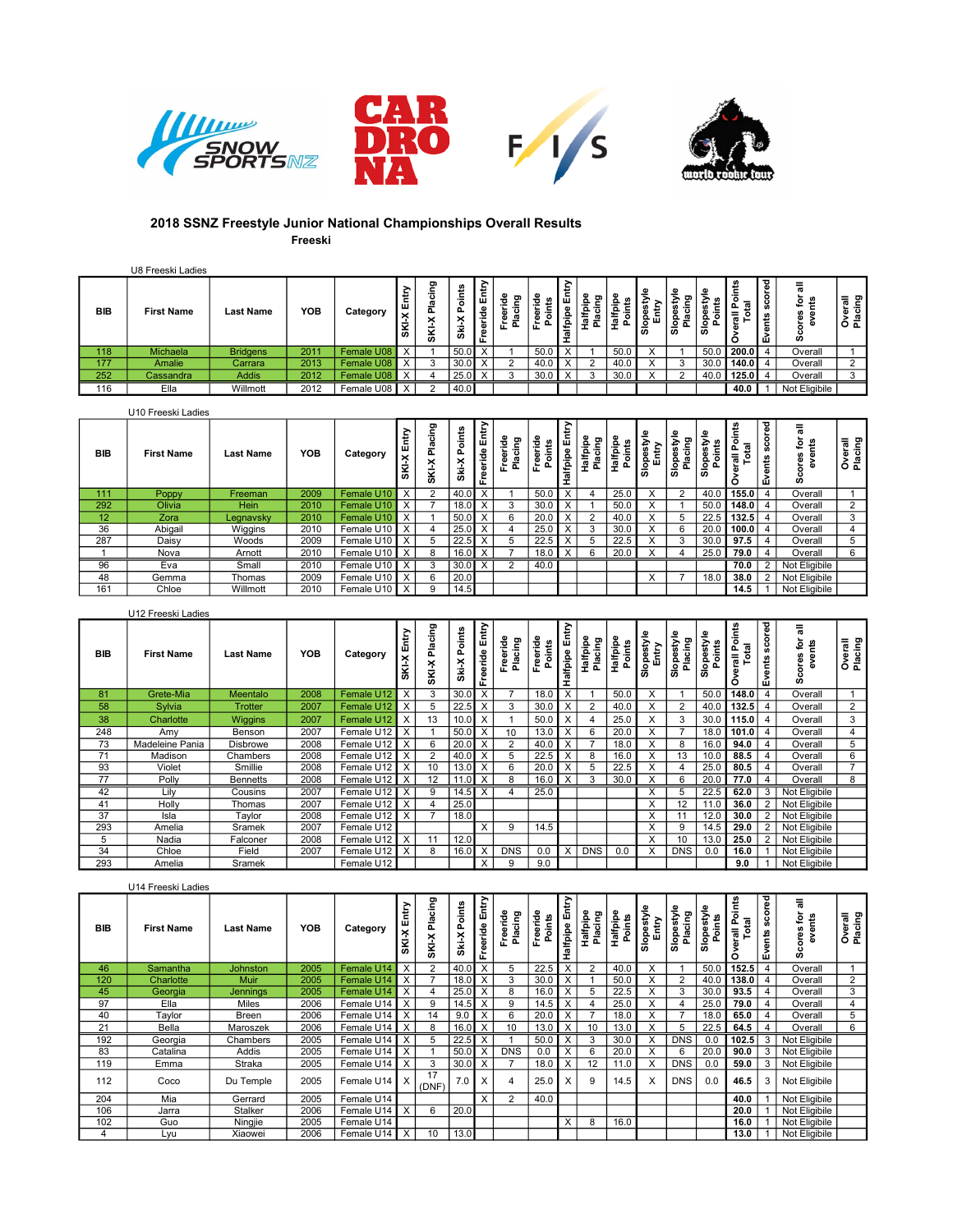







## 2018 SSNZ Freestyle Junior National Championships Overall Results Freeski

|            | U8 Freeski Ladies |                  |            |            |                                |                                                        |                        |   |                          |      |                                     |                  |        |          |                           |                  |                   |                      |                               |                                  |
|------------|-------------------|------------------|------------|------------|--------------------------------|--------------------------------------------------------|------------------------|---|--------------------------|------|-------------------------------------|------------------|--------|----------|---------------------------|------------------|-------------------|----------------------|-------------------------------|----------------------------------|
| <b>BIB</b> | <b>First Name</b> | <b>Last Name</b> | <b>YOB</b> | Category   | . ₩<br>-<br>面<br>∣×<br>-<br>Ιš | ದಾ<br>$\overline{\phantom{0}}$<br>$\epsilon$<br>×<br>Š | m<br>۰<br>۰<br>௨<br>ä, | ÷ | ರಾ<br><b>c</b><br>운<br>œ | ະ ≏  | $\overline{\mathbf{a}}$<br>. ≝<br>ω | m<br>÷<br>≖<br>∸ | 區<br>- | 융<br>ھ ا | ¢<br>-<br>≔<br><u>이 좋</u> | ۰<br>နှင့်<br>ه، | 요ㅎ<br>سم<br>ਾ ਛ ∟ | ᇰ<br>g<br>۰<br>vents | ទី តិ<br>- മ<br>-<br>്ധ<br>Ú) | 둖<br>ರಾ<br>은 드<br>50 U<br>ទ័ត្និ |
| 118        | Michaela          | <b>Bridgens</b>  | 2011       | Female U08 | X                              |                                                        | 50.0                   |   |                          | 50.0 |                                     |                  | 50.0   |          |                           | 50.0             | 200.0             |                      | Overall                       |                                  |
| 177        | Amalie            | Carrara          | 2013       | Female U08 | $\mathbf{v}$                   |                                                        | 30.0                   |   |                          |      |                                     |                  | 40.0   |          |                           | 30.0             | 140.0 I           |                      | Overall                       |                                  |
| 252        | Cassandra         | <b>Addis</b>     | 2012       | Female U08 | $\overline{ }$                 |                                                        | 25.0                   |   |                          | 30.0 |                                     |                  | 30.0   |          | $\sim$                    | 40.0             | 125.0             |                      | Overall                       |                                  |
| 116        | Ella              | Willmott         | 2012       | Female U08 |                                |                                                        | 40.0                   |   |                          |      |                                     |                  |        |          |                           |                  | 40.0              |                      | Not Eligibile                 |                                  |

|                 | U10 Freeski Ladies |                  |            |            |                         |                            |                           |               |                   |                 |                         |                              |                  |                           |                          |                     |                                               |                  |                                 |                    |
|-----------------|--------------------|------------------|------------|------------|-------------------------|----------------------------|---------------------------|---------------|-------------------|-----------------|-------------------------|------------------------------|------------------|---------------------------|--------------------------|---------------------|-----------------------------------------------|------------------|---------------------------------|--------------------|
| <b>BIB</b>      | <b>First Name</b>  | <b>Last Name</b> | <b>YOB</b> | Category   | Entry<br>$\times$<br>ŠΨ | cing<br>σ<br>ᇎ<br>×<br>Šk. | ints<br>$\circ$<br>÷<br>ä | È<br>Freeride | ဦ<br>Ξ<br>ں<br>혼훈 | 흗<br>'ਨ<br>운    | alfpipe<br>a            | cing<br>을<br>Ω<br>На if<br>흢 | Halfpip<br>Point | ÷.<br>a<br>Slopes<br>Entr | -<br>Slopest<br>Placin   | Slopestyl<br>Points | 틍<br>$\overline{a}$<br>$\sim$<br>- 3<br>, 声 호 | scored<br>Events | pres for<br>events<br><b>UD</b> | Overall<br>Placing |
| 111             | Poppy              | Freeman          | 2009       | Female U10 | X                       | $\mathcal{D}$              | 40.0                      |               |                   | 50.C            | $\overline{\mathsf{x}}$ |                              | 25.0             | X                         | $\overline{2}$           | 40.0                | 155.0                                         |                  | Overall                         |                    |
| 292             | Olivia             | Hein             | 2010       | Female U10 | X                       |                            | 18.0                      |               |                   | 30.             | $\times$                |                              | 50.0             | X                         |                          | 50.0                | 148.0                                         |                  | Overall                         |                    |
| 12 <sup>2</sup> | Zora               | Legnavsky        | 2010       | Female U10 | X                       |                            | 50.0                      |               | b                 | 20.             | $\times$                | $\overline{2}$               | 40.0             | $\checkmark$              |                          | 22.5                | 132.5                                         |                  | Overall                         |                    |
| 36              | Abigail            | Wiggins          | 2010       | Female U10 | X                       |                            | 25.0                      |               |                   | 25.0            | X                       | 3                            | 30.0             | X                         | 6                        | 20.0                | 100.0                                         |                  | Overall                         |                    |
| 287             | Daisy              | Woods            | 2009       | Female U10 |                         | $\mathbf{b}$               | 22.5                      |               |                   | 22.5            | $\times$                |                              | 22.5             | $\checkmark$<br>$\lambda$ | 3                        | 30.0                | 97.5                                          |                  | Overall                         |                    |
|                 | Nova               | Arnott           | 2010       | Female U10 | $\times$                | 8                          | 16.0 I                    |               |                   | 18 <sub>u</sub> | $\times$                |                              | 20.0             | X                         |                          | 25.0                | 79.0                                          |                  | Overall                         |                    |
| 96              | Eva                | Small            | 2010       | Female U10 | $\times$                |                            | $30.0$ X                  |               | ົ                 | 40.0            |                         |                              |                  |                           |                          |                     | 70.0                                          |                  | Not Eligibile                   |                    |
| 48              | Gemma              | Thomas           | 2009       | Female U10 | X                       | 6                          | 20.0                      |               |                   |                 |                         |                              |                  | $\sqrt{ }$<br>$\lambda$   | $\overline{\phantom{a}}$ | 18 <sub>c</sub>     | 38.0                                          |                  | Not Eligibile                   |                    |
| 161             | Chloe              | Willmott         | 2010       | Female U10 | $\times$                | 9                          | 14.5                      |               |                   |                 |                         |                              |                  |                           |                          |                     | 14.5                                          |                  | Not Eligibile                   |                    |

|            | U12 Freeski Ladies |                 |            |              |              |                  |              |                   |                     |                    |                |                     |                    |                     |                       |                      |                                 |                   |                         |                    |
|------------|--------------------|-----------------|------------|--------------|--------------|------------------|--------------|-------------------|---------------------|--------------------|----------------|---------------------|--------------------|---------------------|-----------------------|----------------------|---------------------------------|-------------------|-------------------------|--------------------|
| <b>BIB</b> | <b>First Name</b>  | Last Name       | <b>YOB</b> | Category     | SKI-X Entry  | Placing<br>SKI-X | Ski-X Points | Entry<br>Freeride | Freeride<br>Placing | Freeride<br>Points | Halfpipe Entry | Halfpipe<br>Placing | Halfpipe<br>Points | Slopestyle<br>Entry | Slopestyle<br>Placing | Slopestyle<br>Points | cints<br>erall Po<br>Total<br>с | vents scored<br>ш | pres for<br>events<br>Ø | Overall<br>Placing |
| 81         | Grete-Mia          | Meentalo        | 2008       | Female U12   | $\times$     | 3                | 30.0         |                   |                     | 18.0               | X              |                     | 50.0               | X                   |                       | 50.C                 | 148.0                           |                   | Overall                 |                    |
| 58         | Sylvia             | <b>Trotter</b>  | 2007       | Female U12   | $\times$     | 5                | 22.5         |                   |                     | 30. <sub>C</sub>   | X              | $\overline{2}$      | 40.0               | X                   | 2                     | 40.0                 | 132.5                           |                   | Overall                 | $\overline{2}$     |
| 38         | Charlotte          | Wiggins         | 2007       | Female U12   | $\times$     | 13               | 10.0         |                   |                     | 50.0               | $\checkmark$   |                     | 25.0               | X                   | 3                     | 30.0                 | 115.0                           |                   | Overall                 |                    |
| 248        | Amy                | Benson          | 2007       | Female U12   | $\times$     |                  | 50.0         |                   |                     | 13 <sub>c</sub>    | $\checkmark$   | 6                   | 20.0               | х                   |                       | 18 <sub>c</sub>      | 101.0                           |                   | Overall                 |                    |
| 73         | Madeleine Pania    | <b>Disbrowe</b> | 2008       | Female U12   | $\mathsf{X}$ | 6                | 20.0         |                   |                     | 40 <sub>c</sub>    | $\checkmark$   |                     | 18.0               | X                   | 8                     | 16 <sub>c</sub>      | 94.0                            |                   | Overall                 |                    |
| 71         | Madison            | Chambers        | 2008       | Female U12   | ΙX           | $\overline{2}$   | 40.0         |                   |                     | 22.5               |                | 8                   | 16.0               | X                   | 13                    | 10.0                 | 88.5                            |                   | Overall                 |                    |
| 93         | Violet             | Smillie         | 2008       | Female U12   | i X          | 10               | 13.0         |                   |                     | 20.0               | Y              | 5                   | 22.5               | X                   |                       | 25.0                 | 80.5                            |                   | Overall                 |                    |
| 77         | Polly              | <b>Bennetts</b> | 2008       | Female U12   | :I x         | 12               | 11.0         |                   |                     | 16 <sub>c</sub>    | X              | 3                   | 30.0               | X                   | 6                     | 20.0                 | 77.0                            |                   | Overall                 |                    |
| 42         | Lilv               | Cousins         | 2007       | Female U12 X |              | 9                | 14.5         | х                 |                     | 25.0               |                |                     |                    | X                   | 5                     | 22.5                 | 62.0                            | 3                 | Not Eligibile           |                    |
| 41         | Holly              | Thomas          | 2007       | Female U12   | ≀ X          |                  | 25.0         |                   |                     |                    |                |                     |                    | X                   | 12                    |                      | 36.0                            |                   | Not Eligibile           |                    |
| 37         | Isla               | Taylor          | 2008       | Female U12   | ΙX           |                  | 18.0         |                   |                     |                    |                |                     |                    | X                   | 11                    | 12.0                 | 30.0                            |                   | Not Eligibile           |                    |
| 293        | Amelia             | Sramek          | 2007       | Female U12   |              |                  |              | л                 |                     | 14.5               |                |                     |                    | X                   | 9                     | 14.5                 | 29.0                            |                   | Not Eligibile           |                    |
|            | Nadia              | Falconer        | 2008       | Female U12   | $\mathsf{X}$ | 11               | 12.0         |                   |                     |                    |                |                     |                    | X                   | 10                    | 13.C                 | 25.0                            |                   | Not Eligibile           |                    |
| 34         | Chloe              | Field           | 2007       | Female U12   | $\times$     | 8                | 16.0         |                   | <b>DNS</b>          | 0.0                | X              | <b>DNS</b>          | 0.0                | X                   | <b>DNS</b>            | 0.0                  | 16.0                            |                   | Not Eligibile           |                    |
| 293        | Amelia             | Sramek          |            | Female U12   |              |                  |              | x                 |                     | 9.0                |                |                     |                    |                     |                       |                      | 9.0                             |                   | Not Eligibile           |                    |

|            | U14 Freeski Ladies |                  |            |                |                     |                  |                  |                   |                    |                    |                         |                     |                           |                     |                       |                      |                        |               |                          |                    |  |
|------------|--------------------|------------------|------------|----------------|---------------------|------------------|------------------|-------------------|--------------------|--------------------|-------------------------|---------------------|---------------------------|---------------------|-----------------------|----------------------|------------------------|---------------|--------------------------|--------------------|--|
| <b>BIB</b> | <b>First Name</b>  | <b>Last Name</b> | <b>YOB</b> | Category       | Entry<br>SKI-X      | Placing<br>SKI-X | Ski-X Points     | Entry<br>Freeride | reeride<br>Placing | Freeride<br>Points | Halfpipe Entr           | Halfpipe<br>Placing | <b>Halfpipe</b><br>Points | Slopestyle<br>Entry | Slopestyle<br>Placing | Slopestyle<br>Points | rerall Points<br>Total | Events scored | pres for<br>events<br>Ŵ. | Overall<br>Placing |  |
| 46         | Samantha           | <b>Johnston</b>  | 2005       | Female U14     | $\mathsf{I} \times$ | $\overline{2}$   | 40.0             |                   |                    | 22.5               | $\times$                | $\overline{2}$      | 40.0                      | X                   |                       | 50.0                 | 152.5                  |               | Overall                  |                    |  |
| 120        | Charlotte          | Muir             | 2005       | Female U14     | $\mathsf{I} \times$ |                  | 18.0             |                   |                    | 30.0               | $\checkmark$            |                     | 50.0                      |                     | 2                     | 40.0                 | 138.0                  |               | Overall                  | ∠                  |  |
| 45         | Georgia            | Jennings         | 2005       | Female U14 X   |                     |                  | 25.0             |                   |                    |                    |                         |                     | 22.5                      |                     | 3                     | 30.0                 | 93.5                   |               | Overall                  | 3                  |  |
| 97         | Ella               | Miles            | 2006       | Female U14     | $\mathbf{I} \times$ | 9                | 14.5             |                   | <sub>9</sub>       | 14.5               | $\times$                |                     | 25.0                      |                     | 4                     | 25.0                 | 79.0                   |               | Overall                  |                    |  |
| 40         | Taylor             | Breen            | 2006       | Female U14     | $\mathsf{I} \times$ | 14               | 9.0              |                   |                    | 20.0               |                         |                     | 18.0                      |                     |                       | 18.0                 | 65.0                   |               | Overall                  | b.                 |  |
| 21         | Bella              | Maroszek         | 2006       | Female U14     | ∙l x                | 8                | 16.0             |                   | 10                 | 13.0               | X                       | 10                  | 13.0                      |                     | 5                     | 22.5                 | 64.5                   |               | Overall                  | 6                  |  |
| 192        | Georgia            | Chambers         | 2005       | Female U14 X   |                     | $\mathcal{D}$    | 22.5             |                   |                    | 50.0               |                         |                     | 30.0                      | л.                  | <b>DNS</b>            | 0.0                  | 102.5                  | 3             | Not Eligibile            |                    |  |
| 83         | Catalina           | Addis            | 2005       | Female U14 X   |                     |                  | 50.0             |                   | <b>DNS</b>         | 0.0                | $\times$                | 6                   | 20.0                      |                     | 6                     | 20.0                 | 90.0                   | 3             | Not Eligibile            |                    |  |
| 119        | Emma               | Straka           | 2005       | Female U14     | $\mathsf{I} \times$ | 3                | 30.0             |                   |                    | 18.0               | $\overline{\mathsf{x}}$ | 12                  | 11.0                      | X                   | <b>DNS</b>            | 0.0                  | 59.0                   | 3             | Not Eligibile            |                    |  |
| 112        | Coco               | Du Temple        | 2005       | Female U14   X |                     | 17<br>(DNF)      | 7.0 <sub>1</sub> | ᄉ                 |                    | 25.0               | $\lambda$               | 9                   | 14.5                      | X                   | <b>DNS</b>            | 0.0                  | 46.5                   | 3             | Not Eligibile            |                    |  |
| 204        | Mia                | Gerrard          | 2005       | Female U14     |                     |                  |                  | $\sqrt{}$         | $\sim$             | 40.0               |                         |                     |                           |                     |                       |                      | 40.0                   |               | Not Eligibile            |                    |  |
| 106        | Jarra              | Stalker          | 2006       | Female U14     | . I x               | 6                | 20.0             |                   |                    |                    |                         |                     |                           |                     |                       |                      | 20.0                   |               | Not Eligibile            |                    |  |
| 102        | Guo                | Ningjie          | 2005       | Female U14     |                     |                  |                  |                   |                    |                    | $\times$                | 8                   | 16.0                      |                     |                       |                      | 16.0                   |               | Not Eligibile            |                    |  |
|            | Lyu                | Xiaowei          | 2006       | Female U14 X   |                     | 10               | 13.0             |                   |                    |                    |                         |                     |                           |                     |                       |                      | 13.0                   |               | Not Eligibile            |                    |  |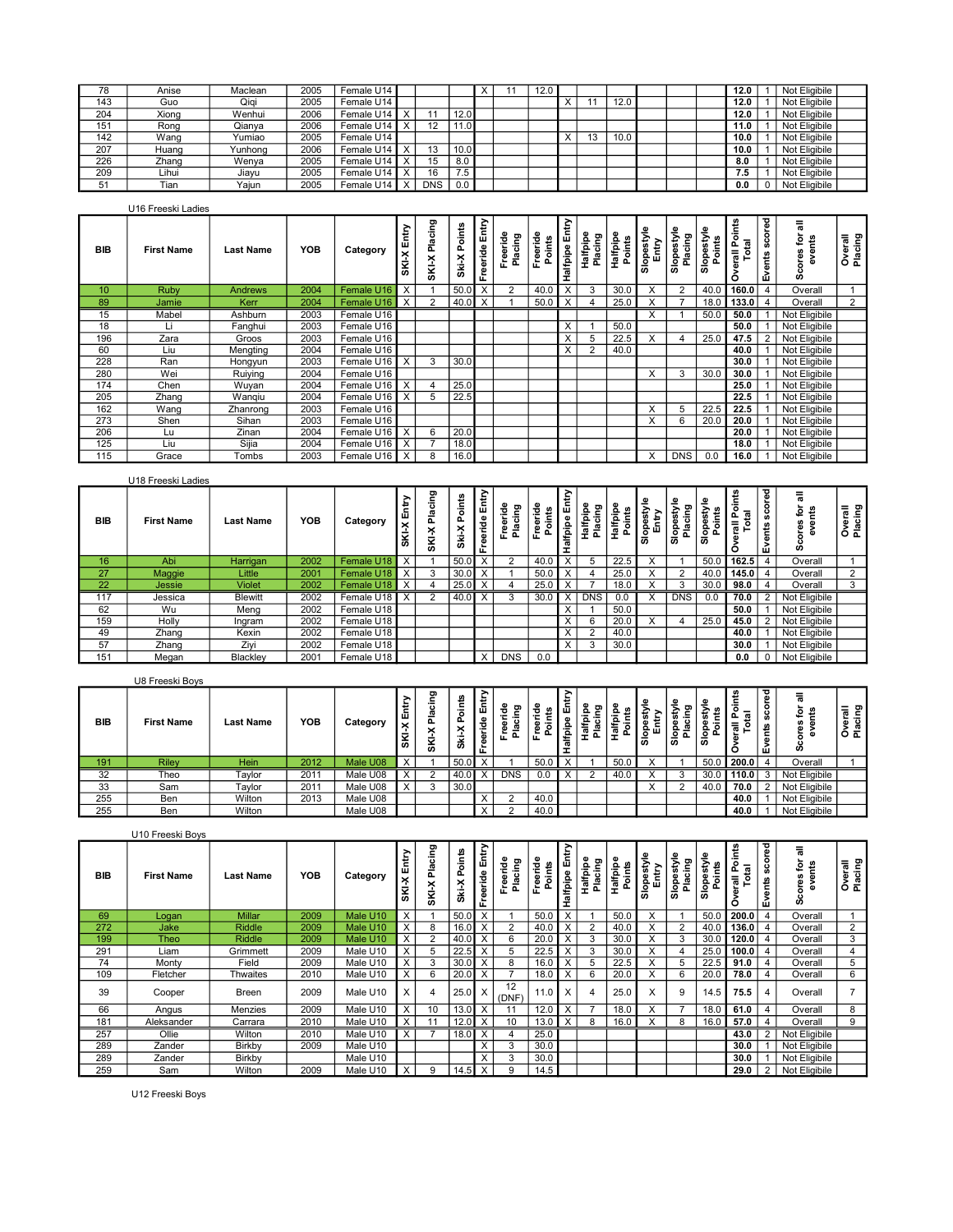| 78  | Anise  | Maclean | 2005 | Female U14 |            |      |  | 12.0 |   |      |  | 12.0 | Not Eligibile |  |
|-----|--------|---------|------|------------|------------|------|--|------|---|------|--|------|---------------|--|
| 143 | Guo    | Qiqi    | 2005 | Female U14 |            |      |  |      |   | 12.0 |  | 12.0 | Not Eligibile |  |
| 204 | Xiong  | Wenhui  | 2006 | Female U14 |            | 12.0 |  |      |   |      |  | 12.0 | Not Eligibile |  |
| 151 | Rona   | Qianva  | 2006 | Female U14 |            | 1.0  |  |      |   |      |  | 11.0 | Not Eligibile |  |
| 142 | Wang   | Yumiao  | 2005 | Female U14 |            |      |  |      | ъ | 10.0 |  | 10.0 | Not Eligibile |  |
| 207 | Huang  | Yunhong | 2006 | Female U14 |            | 10.0 |  |      |   |      |  | 10.0 | Not Eligibile |  |
| 226 | Zhang  | Wenva   | 2005 | Female U14 |            | 8.0  |  |      |   |      |  | 8.0  | Not Eligibile |  |
| 209 | 'Lihui | Jiavu   | 2005 | Female U14 | 16         | 7.5  |  |      |   |      |  | 7.5  | Not Eligibile |  |
| 5   | Tian   | Yaiun   | 2005 | Female U14 | <b>DNS</b> | 0.0  |  |      |   |      |  | 0.0  | Not Eligibile |  |

|                  | U16 Freeski Ladies |                  |            |              |                     |                  |                 |                |                     |                    |                         |                     |                    |                     |                       |                      |                             |               |                  |                    |
|------------------|--------------------|------------------|------------|--------------|---------------------|------------------|-----------------|----------------|---------------------|--------------------|-------------------------|---------------------|--------------------|---------------------|-----------------------|----------------------|-----------------------------|---------------|------------------|--------------------|
| <b>BIB</b>       | <b>First Name</b>  | <b>Last Name</b> | <b>YOB</b> | Category     | Entry<br>SKI-X      | Placing<br>SKI-X | Points<br>Ski-X | Freeride Entry | Freeride<br>Placing | Freeride<br>Points | ζ<br>alfpipe En<br>I    | Halfpipe<br>Placing | Halfpipe<br>Points | Slopestyle<br>Entry | Slopestyle<br>Placing | Slopestyle<br>Points | Points<br>erall Po<br>Total | Events scored | events<br>ω<br>o | Overall<br>Placing |
| 10 <sup>10</sup> | Ruby               | <b>Andrews</b>   | 2004       | Female U16   | X                   |                  | 50.0            | $\checkmark$   | $\Omega$            | 40.0               | $\overline{\mathsf{x}}$ | 3                   | 30.0               | X                   | 2                     | 40.0                 | 160.0                       |               | Overall          |                    |
| 89               | Jamie              | Kerr             | 2004       | Female U16   | $\mathsf{I} \times$ | $\Omega$         | 40.0            | $\mathsf{X}$   |                     | 50.0               | $\times$                |                     | 25.0               |                     |                       | 18.0                 | 133.0                       |               | Overall          | $\overline{2}$     |
| 15               | Mabel              | Ashburn          | 2003       | Female U16   |                     |                  |                 |                |                     |                    |                         |                     |                    | X                   |                       | 50.0                 | 50.0                        |               | Not Eligibile    |                    |
| 18               | Li                 | Fanghui          | 2003       | Female U16   |                     |                  |                 |                |                     |                    | $\times$                |                     | 50.0               |                     |                       |                      | 50.0                        |               | Not Eligibile    |                    |
| 196              | Zara               | Groos            | 2003       | Female U16   |                     |                  |                 |                |                     |                    | $\times$                |                     | 22.5               | X                   | 4                     | 25.0                 | 47.5                        |               | Not Eligibile    |                    |
| 60               | Liu                | Mengting         | 2004       | Female U16   |                     |                  |                 |                |                     |                    | $\times$                | $\overline{2}$      | 40.0               |                     |                       |                      | 40.0                        |               | Not Eligibile    |                    |
| 228              | Ran                | Hongyun          | 2003       | Female U16   | $\times$            | 3                | 30.0            |                |                     |                    |                         |                     |                    |                     |                       |                      | 30.0                        |               | Not Eligibile    |                    |
| 280              | Wei                | Ruiying          | 2004       | Female U16   |                     |                  |                 |                |                     |                    |                         |                     |                    | X                   | 3                     | 30.0                 | 30.0                        |               | Not Eligibile    |                    |
| 174              | Chen               | Wuyan            | 2004       | Female U16   | $\times$            |                  | 25.0            |                |                     |                    |                         |                     |                    |                     |                       |                      | 25.0                        |               | Not Eligibile    |                    |
| 205              | Zhang              | Wangiu           | 2004       | Female U16   | X                   | 5                | 22.5            |                |                     |                    |                         |                     |                    |                     |                       |                      | 22.5                        |               | Not Eligibile    |                    |
| 162              | Wang               | Zhanrong         | 2003       | Female U16   |                     |                  |                 |                |                     |                    |                         |                     |                    | X                   | 5                     | 22.5                 | 22.5                        |               | Not Eligibile    |                    |
| 273              | Shen               | Sihan            | 2003       | Female U16   |                     |                  |                 |                |                     |                    |                         |                     |                    | X                   | 6                     | 20.0                 | 20.0                        |               | Not Eligibile    |                    |
| 206              | Lu                 | Zinan            | 2004       | Female U16   |                     | 6                | 20.0            |                |                     |                    |                         |                     |                    |                     |                       |                      | 20.0                        |               | Not Eligibile    |                    |
| 125              | Liu                | Sijia            | 2004       | Female U16   | $\times$            |                  | 18.0            |                |                     |                    |                         |                     |                    |                     |                       |                      | 18.0                        |               | Not Eligibile    |                    |
| 115              | Grace              | Tombs            | 2003       | Female U16 X |                     | 8                | 16.0            |                |                     |                    |                         |                     |                    | X                   | <b>DNS</b>            | 0.0                  | 16.0                        |               | Not Eligibile    |                    |

|            | U18 Freeski Ladies |                  |            |            |                            |                      |                         |                         |                           |                  |                                                           |                     |                          |                             |                                |                     |                           |   |                          |                                 |                    |  |
|------------|--------------------|------------------|------------|------------|----------------------------|----------------------|-------------------------|-------------------------|---------------------------|------------------|-----------------------------------------------------------|---------------------|--------------------------|-----------------------------|--------------------------------|---------------------|---------------------------|---|--------------------------|---------------------------------|--------------------|--|
| <b>BIB</b> | <b>First Name</b>  | <b>Last Name</b> | <b>YOB</b> | Category   | È<br>ш<br>$\times$<br>SKI- | cing<br>ᇎ<br>×<br>Š. | ints<br>٥<br>൨<br>Ski-X | Freeride Entry          | ۴ë<br>Freeride<br>Placing | eride<br>흕<br>운  | ↘<br>۱Ē.<br>$\mathbf{o}$<br>$\frac{a}{\sin \theta}$<br>Œ. | Halfpipe<br>Placing | <b>Halfpip</b><br>Points | Slopes<br>Entr <sub>y</sub> | ž<br>∸<br>m<br>Slopes<br>Placi | Slopestyl<br>Points | 흥<br>Δ.<br>$\overline{a}$ | ᄛ | ठ<br>Φ<br>SCOT<br>Events | ≅ ق<br>res<br>ever<br><b>SD</b> | Overall<br>Placing |  |
| 16         | Abi                | Harrigan         | 2002       | Female U18 | $\times$                   |                      | 50.0                    | $\times$                | $\sim$                    | 40.0             | $\times$                                                  |                     | 22.5                     | X                           |                                | 50.0                | 162.5                     |   |                          | Overall                         |                    |  |
| 27         | Maggie             | Little           | 2001       | Female U18 |                            |                      | 30.0                    | $\overline{ }$          |                           | .50 <sub>c</sub> | X                                                         |                     | 25.0                     | x                           | $\overline{2}$                 | 40.0                | 145.0                     |   |                          | Overall                         |                    |  |
| 22         | Jessie             | <b>Violet</b>    | 2002       | Female U18 |                            |                      | 25.0                    | $\check{ }$             |                           | 25.0             | X                                                         |                     | 18.0                     | $\checkmark$<br>ㅅ           | 3                              | ່ 30.ປ              | 98.0                      |   |                          | Overall                         |                    |  |
| 117        | Jessica            | <b>Blewitt</b>   | 2002       | Female U18 |                            |                      | 40.0                    | $\overline{\mathsf{x}}$ |                           | 30.0             | ⋏                                                         | <b>DNS</b>          | 0.0                      | $\lambda$                   | <b>DNS</b>                     | 0.0                 | 70.0                      |   |                          | 2 Not Eligibile                 |                    |  |
| 62         | Wu                 | Meng             | 2002       | Female U18 |                            |                      |                         |                         |                           |                  | X                                                         |                     | 50.0                     |                             |                                |                     | 50.0                      |   |                          | Not Eligibile                   |                    |  |
| 159        | Holly              | Ingram           | 2002       | Female U18 |                            |                      |                         |                         |                           |                  | X                                                         | 6                   | 20.0                     | X                           |                                | 25.0                | 45.0                      |   |                          | Not Eligibile                   |                    |  |
| 49         | Zhang              | Kexin            | 2002       | Female U18 |                            |                      |                         |                         |                           |                  | $\overline{X}$                                            | $\Omega$            | 40.0                     |                             |                                |                     | 40.0                      |   |                          | Not Eligibile                   |                    |  |
| 57         | Zhang              | Zivi             | 2002       | Female U18 |                            |                      |                         |                         |                           |                  | $\overline{\mathsf{x}}$                                   |                     | 30.0                     |                             |                                |                     | 30.0                      |   |                          | Not Eligibile                   |                    |  |
| 151        | Megan              | Blackley         | 2001       | Female U18 |                            |                      |                         | $\times$                | <b>DNS</b>                | 0.0              |                                                           |                     |                          |                             |                                |                     | 0.0                       |   |                          | Not Eligibile                   |                    |  |

|            | U8 Freeski Boys   |                  |      |          |                               |                                     |                                                                |                   |                         |                |                  |             |             |                    |                    |               |                     |                               |               |                 |                                    |  |
|------------|-------------------|------------------|------|----------|-------------------------------|-------------------------------------|----------------------------------------------------------------|-------------------|-------------------------|----------------|------------------|-------------|-------------|--------------------|--------------------|---------------|---------------------|-------------------------------|---------------|-----------------|------------------------------------|--|
| <b>BIB</b> | <b>First Name</b> | <b>Last Name</b> | YOB  | Category | 는<br>ш<br>$\times$<br>-<br>Ιš | ರಾ<br>--<br>$\cdots$<br>÷<br>×<br>Š | చి<br>Ξ.<br>$\circ$<br>௨<br>$\overline{\phantom{a}}$<br>́<br>ä | سه<br>∼<br>흹<br>œ | ဥ<br>₽<br>75<br>흢<br>A۱ | ÷<br>ᅙ<br>ہ ⊋. | Φ<br>li pip<br>w | ÷<br>藳<br>흢 | ∸<br>高<br>- | $\tilde{z}$<br>ᆙᇢᇛ | ెం<br>$rac{5}{26}$ | 흉<br>-<br>  ဟ | £.<br>유교<br>ت<br>高」 | ਹ<br>ere<br>ō<br>ō,<br>Events | ទី តិ<br>ທ    | - ම<br>-5<br>Ö. | 등 닫 !<br>. .<br><b>ㅎ ㅇ</b><br>៓៎៓៓ |  |
| 191        | <b>Rilev</b>      | Hein             | 2012 | Male U08 | $\times$                      |                                     | 50.0                                                           |                   |                         | 50             |                  |             | 50.0        |                    |                    |               | $50.0$ 200.0        |                               | Overall       |                 |                                    |  |
| 32         | Theo              | Taylor           | 2011 | Male U08 | $\times$                      |                                     | 40.0                                                           |                   | <b>DNS</b>              | 0.0            |                  |             | 40.0        |                    |                    | 30.0          | 110.0               |                               | Not Eligibile |                 |                                    |  |
| 33         | Sam               | Taylor           | 2011 | Male U08 | $\checkmark$                  |                                     | 30.0                                                           |                   |                         |                |                  |             |             |                    | $\Omega$           | 40.0          | 70.0                |                               | Not Eligibile |                 |                                    |  |
| 255        | Ben               | Wilton           | 2013 | Male U08 |                               |                                     |                                                                |                   |                         | 40.0           |                  |             |             |                    |                    |               | 40.0                |                               | Not Eligibile |                 |                                    |  |
| 255        | Ben               | Wilton           |      | Male U08 |                               |                                     |                                                                |                   |                         |                |                  |             |             |                    |                    |               | 40.0                |                               | Not Eligibile |                 |                                    |  |

|            | U10 Freeski Boys  |                  |            |          |                 |                         |                     |                |                     |                    |                         |                     |                    |                     |                             |                          |                  |                       |                         |                    |
|------------|-------------------|------------------|------------|----------|-----------------|-------------------------|---------------------|----------------|---------------------|--------------------|-------------------------|---------------------|--------------------|---------------------|-----------------------------|--------------------------|------------------|-----------------------|-------------------------|--------------------|
| <b>BIB</b> | <b>First Name</b> | <b>Last Name</b> | <b>YOB</b> | Category | Entr<br>×<br>Ŝ. | cing<br>흢<br>SKI-X      | oints<br>م<br>Ski-X | Freeride Entry | Freeride<br>Placing | Freeride<br>Points | Halfpipe Entry          | Halfpipe<br>Placing | Halfpipe<br>Points | Slopestyle<br>Entry | ekt<br>Slopestyl<br>Placing | ξĪ<br>Slopesty<br>Points | cints<br>E,<br>霞 | ē<br>င္ၿ<br>ents<br>Ŵ | ores for<br>events<br>ഗ | Overall<br>Placing |
| 69         | Logan             | <b>Millar</b>    | 2009       | Male U10 | $\times$        |                         | 50.0                | $\times$       |                     | 50.0               | X                       |                     | 50.0               | X                   |                             | 50.0                     | 200.0            |                       | Overall                 |                    |
| 272        | Jake              | Riddle           | 2009       | Male U10 | X               | 8                       | 16.0                | $\times$       | $\Omega$            | 40.0               | X                       | $\overline{2}$      | 40.0               | X                   | $\overline{2}$              | 40.0                     | 136.0            |                       | Overall                 | 2                  |
| 199        | Theo              | Riddle           | 2009       | Male U10 | $\times$        |                         | 40.0                | X              | 6                   | 20.                | X                       | 3                   | 30.0               | X                   | 3                           | 30.0                     | 120.0            |                       | Overall                 | 3                  |
| 291        | Liam              | Grimmett         | 2009       | Male U10 |                 |                         | 22.5                | $\times$       | 5                   | 22.5               | $\overline{\mathsf{x}}$ | 3                   | 30.0               | X                   |                             | 25.0                     | 100.0            |                       | Overall                 |                    |
| 74         | Monty             | Field            | 2009       | Male U10 | X               | 3                       | 30.0                | $\checkmark$   | 8                   | 16.0               | $\overline{\mathsf{x}}$ |                     | 22.5               | X                   | 5                           | 22.5                     | 91.0             |                       | Overall                 | 5                  |
| 109        | Fletcher          | Thwaites         | 2010       | Male U10 | X               | 6                       | 20.0                | $\mathsf{X}$   | -                   | 18.0               | $\overline{\mathsf{x}}$ | 6                   | 20.0               | X                   | 6                           | 20.0                     | 78.0             |                       | Overall                 | 6                  |
| 39         | Cooper            | Breen            | 2009       | Male U10 |                 | $\overline{\mathbf{A}}$ | 25.0                | $\times$       | 12<br>(DNF)         | 11.0               | X                       |                     | 25.0               | X                   | 9                           | 14.5                     | 75.5             |                       | Overall                 |                    |
| 66         | Angus             | Menzies          | 2009       | Male U10 | $\times$        | 10                      | 13.0                | $\times$       |                     | 12.0               | $\mathsf{x}$            |                     | 18.0               | X                   | $\rightarrow$               | 18.0                     | 61.0             |                       | Overall                 | 8                  |
| 181        | Aleksander        | Carrara          | 2010       | Male U10 | X               |                         | 12.0                | $\times$       |                     | 13.0               | X                       | 8                   | 16.0               | X                   | 8                           | 16 <sub>c</sub>          | 57.0             |                       | Overall                 |                    |
| 257        | Ollie             | Wilton           | 2010       | Male U10 |                 |                         | $18.0$ X            |                |                     | 25.0               |                         |                     |                    |                     |                             |                          | 43.0             | 2                     | Not Eligibile           |                    |
| 289        | Zander            | Birkby           | 2009       | Male U10 |                 |                         |                     | $\times$       | $\sim$<br>చ         | 30.0               |                         |                     |                    |                     |                             |                          | 30.0             |                       | Not Eligibile           |                    |
| 289        | Zander            | Birkby           |            | Male U10 |                 |                         |                     | $\times$       | $\sim$              | 30.0               |                         |                     |                    |                     |                             |                          | 30.0             |                       | Not Eligibile           |                    |
| 259        | Sam               | Wilton           | 2009       | Male U10 | $\times$        | $\mathbf{Q}$            |                     | $\times$       | 9                   | 14.5               |                         |                     |                    |                     |                             |                          | 29.0             | 2                     | Not Eligibile           |                    |

U12 Freeski Boys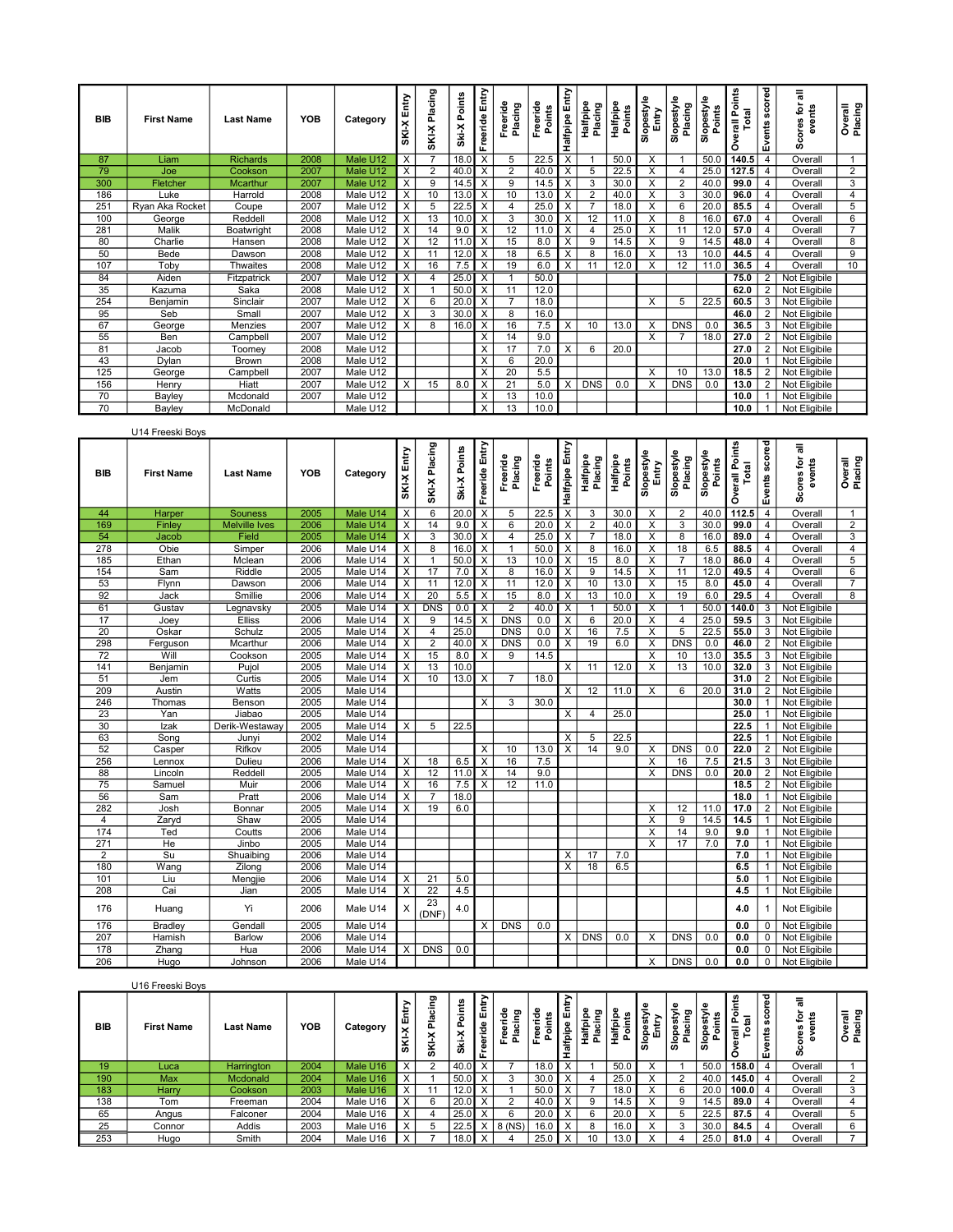| <b>BIB</b>   | <b>First Name</b> | <b>Last Name</b> | <b>YOB</b> | Category | Entry<br><b>X-DIS</b>   | Placing<br>SKI-X | Points<br>Ski-X | Freeride Entry | Freeride<br>Placing | Freeride<br>Points | Halfpipe Entry          | Halfpipe<br>Placing | Halfpipe<br>Points | <b>Slopestyle</b><br>Entry | Slopestyle<br>Placing | ڡِ<br>Slopestyl<br>Points | verall Points<br>Total<br>۰ | Events scored | 둖<br>events<br>ݠ<br>Φ<br>ō | Overall<br>Placing |
|--------------|-------------------|------------------|------------|----------|-------------------------|------------------|-----------------|----------------|---------------------|--------------------|-------------------------|---------------------|--------------------|----------------------------|-----------------------|---------------------------|-----------------------------|---------------|----------------------------|--------------------|
| 87           | Liam              | <b>Richards</b>  | 2008       | Male U12 | X                       |                  | 18.0            | $\times$       | 5                   | 22.5               | $\overline{\mathsf{x}}$ |                     | 50.0               | X                          |                       | 50.0                      | 140.5                       |               | Overall                    |                    |
| 79           | Joe               | Cookson          | 2007       | Male U12 | X                       | $\overline{2}$   | 40.0            | X              | $\overline{2}$      | 40.0               | $\overline{X}$          | 5                   | 22.5               | X                          | 4                     | 25.0                      | 127.5                       |               | Overall                    | 2                  |
| 300          | Fletcher          | Mcarthur         | 2007       | Male U12 | $\overline{X}$          | 9                | 14.5            |                | 9                   | 14.5               | $\overline{X}$          | 3                   | 30.0               | X                          | 2                     | 40.0                      | 99.0                        |               | Overall                    | 3                  |
| 186          | Luke              | Harrold          | 2008       | Male U12 | $\times$                | 10               | 13.0            | X              |                     | 13.0               | $\overline{\mathsf{x}}$ | $\overline{2}$      | 40.0               | X                          | 3                     | 30.0                      | 96.0                        |               | Overall                    | $\overline{4}$     |
| $25^{\circ}$ | Ryan Aka Rocket   | Coupe            | 2007       | Male U12 | X                       | 5                | 22.5            | X              |                     | 25.0               | $\overline{\mathsf{x}}$ |                     | 18.0               | X                          | 6                     | 20.0                      | 85.5                        |               | Overall                    | 5                  |
| 100          | George            | Reddell          | 2008       | Male U12 | $\overline{\mathsf{x}}$ | 13               | 10.0            |                | 3                   | 30.0               | $\overline{\mathsf{x}}$ | 12                  |                    | X                          | 8                     | 16.0                      | 67.0                        |               | Overall                    | 6                  |
| 281          | Malik             | Boatwright       | 2008       | Male U12 | X                       | 14               | 9.0             | $\times$       | 12                  | 11.0               | $\times$                |                     | 25.0               | X                          | 11                    | 12.0                      | 57.0                        |               | Overall                    | $\overline{7}$     |
| 80           | Charlie           | Hansen           | 2008       | Male U12 | X                       | 12               | 11.0            | X              | 15                  | 8.0                | $\bar{x}$               | 9                   | 14.5               | X                          | 9                     | 14.5                      | 48.0                        |               | Overall                    | 8                  |
| 50           | Bede              | Dawson           | 2008       | Male U12 | X                       | 11               | 12.0            |                | 18                  | 6.5                | X                       | 8                   | 16.0               | X                          | 13                    | 10.0                      | 44.5                        |               | Overall                    | 9                  |
| 107          | Toby              | <b>Thwaites</b>  | 2008       | Male U12 | X                       | 16               | 7.5             | X              | 19                  | 6.0                | $\overline{\mathsf{x}}$ |                     | 12.0               | X                          | 12                    | 11.0                      | 36.5                        |               | Overall                    | 10                 |
| 84           | Aiden             | Fitzpatrick      | 2007       | Male U12 | X                       |                  | 25.0            | $\times$       |                     | 50.0               |                         |                     |                    |                            |                       |                           | 75.0                        |               | Not Eligibile              |                    |
| 35           | Kazuma            | Saka             | 2008       | Male U12 | $\overline{\mathsf{x}}$ |                  | 50.0            | $\times$       | 11                  | 12.0               |                         |                     |                    |                            |                       |                           | 62.0                        |               | Not Eligibile              |                    |
| 254          | Benjamin          | Sinclair         | 2007       | Male U12 | X                       | 6                | 20.0            | X              |                     | 18.0               |                         |                     |                    | X                          | 5                     | 22.5                      | 60.5                        |               | Not Eligibile              |                    |
| 95           | Seb               | Small            | 2007       | Male U12 | X                       | 3                | 30.0            | $\times$       | 8                   | 16.0               |                         |                     |                    |                            |                       |                           | 46.0                        |               | Not Eligibile              |                    |
| 67           | George            | Menzies          | 2007       | Male U12 | X                       | 8                | 16.0            | $\times$       | 16                  | 7.5                | $\times$                | 10                  | 13.0               | X                          | <b>DNS</b>            | 0.0                       | 36.5                        | 3             | Not Eligibile              |                    |
| 55           | Ben               | Campbell         | 2007       | Male U12 |                         |                  |                 | X              | 14                  | 9.0                |                         |                     |                    | X                          |                       | 18.0                      | 27.0                        |               | Not Eligibile              |                    |
| 81           | Jacob             | Toomey           | 2008       | Male U12 |                         |                  |                 | $\times$       | 17                  | 7.0                | $\overline{\mathsf{x}}$ | 6                   | 20.0               |                            |                       |                           | 27.0                        |               | Not Eligibile              |                    |
| 43           | Dylan             | Brown            | 2008       | Male U12 |                         |                  |                 | $\times$       | 6                   | 20.0               |                         |                     |                    |                            |                       |                           | 20.0                        |               | Not Eligibile              |                    |
| 125          | George            | Campbell         | 2007       | Male U12 |                         |                  |                 | X              | 20                  | 5.5                |                         |                     |                    | X                          | 10                    | 13.0                      | 18.5                        |               | Not Eligibile              |                    |
| 156          | Henry             | Hiatt            | 2007       | Male U12 | X                       | 15               | 8.0             | $\times$       | 21                  | 5.0                | $\times$                | <b>DNS</b>          | 0.0                | X                          | <b>DNS</b>            | 0.0                       | 13.0                        |               | Not Eligibile              |                    |
| 70           | Bayley            | Mcdonald         | 2007       | Male U12 |                         |                  |                 | X              | 13                  | 10 <sub>c</sub>    |                         |                     |                    |                            |                       |                           | 10.0                        |               | Not Eligibile              |                    |
| 70           | Bavley            | McDonald         |            | Male U12 |                         |                  |                 | X              | 13                  | 10.0               |                         |                     |                    |                            |                       |                           | 10.0                        |               | Not Eligibile              |                    |

|                 | U14 Freeski Boys  |                      |      |                       |                           |                |              |                         |                     |                    |                         |                     |                           |                         |                       |                      |                                |                |                      |                    |
|-----------------|-------------------|----------------------|------|-----------------------|---------------------------|----------------|--------------|-------------------------|---------------------|--------------------|-------------------------|---------------------|---------------------------|-------------------------|-----------------------|----------------------|--------------------------------|----------------|----------------------|--------------------|
| <b>BIB</b>      | <b>First Name</b> | <b>Last Name</b>     | YOB  | Category              | Entry<br><b>X-NS</b>      | SKI-X Placing  | Ski-X Points | Freeride Entry          | Freeride<br>Placing | Freeride<br>Points | Halfpipe Entry          | Halfpipe<br>Placing | <b>Halfpipe</b><br>Points | Slopestyle<br>Entry     | Slopestyle<br>Placing | Slopestyle<br>Points | <b>Overall Points</b><br>Total | Events scored  | Scores for<br>events | Overall<br>Placing |
| 44              | Harper            | <b>Souness</b>       | 2005 | Male U14              | $\overline{\mathsf{x}}$   | 6              | 20.0         | $\overline{x}$          | 5                   | 22.5               | $\overline{\mathsf{x}}$ | 3                   | 30.0                      | X                       | 2                     | 40.0                 | 112.5                          | $\overline{4}$ | Overall              | 1                  |
| 169             | Finley            | <b>Melville Ives</b> | 2006 | Male U14              | $\overline{\mathsf{x}}$   | 14             | 9.0          | X                       | 6                   | 20.0               | X                       | $\overline{2}$      | 40.0                      | $\overline{\mathsf{x}}$ | $\overline{3}$        | 30.0                 | 99.0                           | $\overline{4}$ | Overal               | $\overline{2}$     |
| 54              | Jacob             | Field                | 2005 | Male U14              | $\times$                  | 3              | 30.0         | X                       | $\overline{4}$      | 25.0               | х                       | $\overline{7}$      | 18.0                      | X                       | 8                     | 16.0                 | 89.0                           | $\overline{4}$ | Overall              | 3                  |
| 278             | Obie              | Simper               | 2006 | Male U14              | $\overline{\mathsf{x}}$   | $\overline{8}$ | 16.0         | $\overline{\mathsf{x}}$ | -1                  | 50.0               | $\overline{\mathsf{x}}$ | 8                   | 16.0                      | $\overline{X}$          | 18                    | 6.5                  | 88.5                           | $\overline{4}$ | Overall              | $\overline{4}$     |
| 185             | Ethan             | Mclean               | 2006 | Male U14              | $\overline{\mathsf{x}}$   | $\mathbf{1}$   | 50.0         | X                       | 13                  | 10.0               | X                       | 15                  | 8.0                       | X                       | $\overline{7}$        | 18.0                 | 86.0                           | $\overline{4}$ | Overall              | 5                  |
| 154             | Sam               | Riddle               | 2005 | Male U14              | $\times$                  | 17             | 7.0          | X                       | 8                   | 16.0               | X                       | 9                   | 14.5                      | X                       | 11                    | 12.0                 | 49.5                           | $\overline{4}$ | Overall              | 6                  |
| 53              | Flynn             | Dawson               | 2006 | Male U14              | $\times$                  | 11             | 12.0         | X                       | 11                  | 12.0               | X                       | 10                  | 13.0                      | X                       | 15                    | 8.0                  | 45.0                           | $\overline{4}$ | Overall              | $\overline{7}$     |
| 92              | Jack              | Smillie              | 2006 | Male U14              | $\times$                  | 20             | 5.5          | $\times$                | 15                  | 8.0                | $\times$                | 13                  | 10.0                      | $\times$                | 19                    | 6.0                  | 29.5                           | $\overline{4}$ | Overall              | 8                  |
| 61              | Gustav            | Legnavsky            | 2005 | Male U14              | $\mathsf{X}$              | <b>DNS</b>     | 0.0          | $\times$                | $\overline{2}$      | 40.0 X             |                         | $\overline{1}$      | 50.0                      | X                       | $\overline{1}$        | 50.0                 | 140.0                          |                | 3   Not Eligibile    |                    |
| 17              | Joey              | <b>Elliss</b>        | 2006 | Male U14              | $\boldsymbol{\mathsf{x}}$ | 9              | 14.5         | X                       | <b>DNS</b>          | 0.0                | X                       | 6                   | 20.0                      | X                       | $\overline{4}$        | 25.0                 | 59.5                           | 3 I            | Not Eligibile        |                    |
| 20              | Oskar             | Schulz               | 2005 | Male U14              | $\overline{\mathsf{x}}$   | $\overline{4}$ | 25.0         |                         | <b>DNS</b>          | 0.0                | $\overline{\mathsf{x}}$ | 16                  | 7.5                       | $\overline{\mathsf{x}}$ | 5                     | 22.5                 | 55.0                           |                | 3 Not Eligibile      |                    |
| 298             | Ferguson          | Mcarthur             | 2006 | Male U14              | X                         | 2              | 40.0         | X                       | <b>DNS</b>          | 0.0                | Х                       | 19                  | 6.0                       | X                       | <b>DNS</b>            | 0.0                  | 46.0                           |                | 2 Not Eligibile      |                    |
| $\overline{72}$ | Will              | Cookson              | 2005 | Male U14              | $\times$                  | 15             | 8.0          | X                       | 9                   | 14.5               |                         |                     |                           | X                       | 10                    | 13.0                 | 35.5                           |                | 3 Not Eligibile      |                    |
| 141             | Benjamin          | Pujol                | 2005 | Male U14              | $\times$                  | 13             | 10.0         |                         |                     |                    | X                       | 11                  | 12.0                      | X                       | 13                    | 10 <sub>c</sub>      | 32.0                           | 3              | Not Eligibile        |                    |
| 51              | Jem               | Curtis               | 2005 | Male U14              | $\times$                  | 10             | 13.0         | X                       |                     | 18.0               |                         |                     |                           |                         |                       |                      | 31.0                           | 2              | Not Eligibile        |                    |
| 209             | Austin            | Watts                | 2005 | Male U14              |                           |                |              |                         |                     |                    | $\times$                | 12                  | 11.0                      | X                       | 6                     | 20.0                 | 31.0                           | 2 <sup>1</sup> | Not Eligibile        |                    |
| 246             | Thomas            | Benson               | 2005 | Male U14              |                           |                |              | X                       | 3                   | 30.0               |                         |                     |                           |                         |                       |                      | 30.0                           | 1 <sup>1</sup> | Not Eligibile        |                    |
| 23              | Yan               | Jiabao               | 2005 | Male U14              |                           |                |              |                         |                     |                    | $\overline{X}$          | $\overline{4}$      | 25.0                      |                         |                       |                      | 25.0                           |                | Not Eligibile        |                    |
| 30              | Izak              | Derik-Westaway       | 2005 | Male U14              | X                         | 5              | 22.5         |                         |                     |                    |                         |                     |                           |                         |                       |                      | 22.5                           |                | Not Eligibile        |                    |
| 63              | Sona              | Junyi                | 2002 | Male U14              |                           |                |              |                         |                     |                    | X                       | 5                   | 22.5                      |                         |                       |                      | 22.5                           |                | Not Eligibile        |                    |
| 52              | Casper            | Rifkov               | 2005 | Male U14              |                           |                |              | X                       | 10                  | 13.0               | X                       | 14                  | 9.0                       | X                       | <b>DNS</b>            | 0.0                  | 22.0                           | 2              | Not Eligibile        |                    |
| 256             | Lennox            | Dulieu               | 2006 | Male U14              | $\times$                  | 18             | 6.5          | X                       | 16                  | 7.5                |                         |                     |                           | X                       | 16                    | 7.5                  | 21.5                           | 3 I            | Not Eligibile        |                    |
| 88              | Lincoln           | Reddell              | 2005 | Male U14              | $\overline{\mathsf{x}}$   | 12             | 11.0         | X                       | 14                  | 9.0                |                         |                     |                           | X                       | <b>DNS</b>            | 0.0                  | 20.0                           | $\overline{2}$ | Not Eligibile        |                    |
| 75              | Samuel            | Muir                 | 2006 | Male U14              | $\overline{\mathsf{x}}$   | 16             | 7.5          | $\overline{\mathsf{x}}$ | 12                  | 11.0               |                         |                     |                           |                         |                       |                      | 18.5                           | 2              | Not Eligibile        |                    |
| 56              | Sam               | Pratt                | 2006 | Male U14              | $\times$                  | $\overline{7}$ | 18.0         |                         |                     |                    |                         |                     |                           |                         |                       |                      | 18.0                           | $\mathbf{1}$   | Not Eligibile        |                    |
| 282             | Josh              | Bonnar               | 2005 | Male U14              | $\times$                  | 19             | 6.0          |                         |                     |                    |                         |                     |                           | X                       | 12                    | 11.0                 | 17.0                           | 2 <sup>1</sup> | Not Eligibile        |                    |
| $\overline{4}$  | Zaryd             | Shaw                 | 2005 | Male U14              |                           |                |              |                         |                     |                    |                         |                     |                           | X                       | 9                     | 14.5                 | 14.5                           | 1 <sup>1</sup> | Not Eligibile        |                    |
| 174             | Ted               | Coutts               | 2006 | Male U14              |                           |                |              |                         |                     |                    |                         |                     |                           | X                       | 14                    | 9.0                  | 9.0                            |                | Not Eligibile        |                    |
| 271             | He                | Jinbo                | 2005 | Male U14              |                           |                |              |                         |                     |                    |                         |                     |                           | X                       | 17                    | 7.0                  | 7.0                            |                | Not Eligibile        |                    |
| $\overline{2}$  | Su                | Shuaibing            | 2006 | Male U14              |                           |                |              |                         |                     |                    | $\overline{\mathsf{x}}$ | 17                  | 7.0                       |                         |                       |                      | 7.0                            |                | Not Eligibile        |                    |
| 180             | Wang              | Zilong               | 2006 | Male $\overline{U14}$ |                           |                |              |                         |                     |                    | X                       | 18                  | 6.5                       |                         |                       |                      | 6.5                            |                | Not Eligibile        |                    |
| 101             | Liu               | Mengjie              | 2006 | Male U14              | $\times$                  | 21             | 5.0          |                         |                     |                    |                         |                     |                           |                         |                       |                      | 5.0                            | 1 I            | Not Eligibile        |                    |
| 208             | Cai               | Jian                 | 2005 | Male U14              | $\boldsymbol{\mathsf{X}}$ | 22             | 4.5          |                         |                     |                    |                         |                     |                           |                         |                       |                      | 4.5                            |                | Not Eligibile        |                    |
| 176             | Huang             | Yi                   | 2006 | Male U14              | X                         | 23<br>(DNF)    | 4.0          |                         |                     |                    |                         |                     |                           |                         |                       |                      | 4.0                            |                | Not Eligibile        |                    |
| 176             | <b>Bradley</b>    | Gendall              | 2005 | Male U14              |                           |                |              | X                       | <b>DNS</b>          | 0.0                |                         |                     |                           |                         |                       |                      | 0.0                            | 0              | Not Eligibile        |                    |
| 207             | Hamish            | <b>Barlow</b>        | 2006 | Male U14              |                           |                |              |                         |                     |                    | Χ                       | DNS                 | 0.0                       | X                       | <b>DNS</b>            | 0.0                  | 0.0                            | $\Omega$       | Not Eligibile        |                    |
| 178             | Zhang             | Hua                  | 2006 | Male U14              | X                         | <b>DNS</b>     | 0.0          |                         |                     |                    |                         |                     |                           |                         |                       |                      | 0.0                            | $0-1$          | Not Eligibile        |                    |
| 206             | Hugo              | Johnson              | 2006 | Male U14              |                           |                |              |                         |                     |                    |                         |                     |                           | X                       | <b>DNS</b>            | 0.0                  | 0.0                            |                | 0   Not Eligibile    |                    |

|            | U16 Freeski Boys  |                  |            |          |                                 |                     |                                      |                           |                       |         |              |                               |             |                     |                      |                                 |                                                   |                            |                 |                                     |  |
|------------|-------------------|------------------|------------|----------|---------------------------------|---------------------|--------------------------------------|---------------------------|-----------------------|---------|--------------|-------------------------------|-------------|---------------------|----------------------|---------------------------------|---------------------------------------------------|----------------------------|-----------------|-------------------------------------|--|
| <b>BIB</b> | <b>First Name</b> | <b>Last Name</b> | <b>YOB</b> | Category | ><br>Entr <sub>.</sub><br>SKI-X | cing<br>흢<br>×<br>Š | oints<br>௨<br>$\checkmark$<br>×<br>ä | Ē<br>щ<br>eride<br>a<br>՟ | œ<br>g<br>곧<br>흢<br>ω | ā<br>L. | alfpipe<br>ᅩ | o<br><b>Halfpip</b><br>≔<br>흢 | Talfpi<br>ā | ىت<br>€<br>용面<br>ه. | Slopestyl<br>Placing | ង្គឺ ឌ្<br>ō<br>. ਰੋ<br>흡운<br>ഗ | ∸<br>횥<br>$\overline{a}$<br>∸<br>$\overline{a}$ . | 8<br>৯<br>္တ<br>vents<br>ш | ی ج<br>exe<br>ጡ | ្រុក ក្នុ<br>$\mathbf c$<br>Ф<br>종훕 |  |
| 19         | Luca              | Harrington       | 2004       | Male U16 | X                               |                     | 40.OI                                |                           |                       | 18.0    | $\sqrt{}$    |                               | 50.0        |                     |                      | 50.0                            | 158.0                                             |                            | Overall         |                                     |  |
| 190<br>L   | Max               | Mcdonald         | 2004       | Male U16 | X                               |                     | 50.0                                 |                           |                       | 30.0    | $\sqrt{}$    |                               | 25.0        | $\checkmark$        | $\mathcal{D}$        | 40.0                            | 145.0                                             |                            | Overall         |                                     |  |
| 183        | Harry             | Cookson          | 2003       | Male U16 | X                               | 11                  | 12.0                                 |                           |                       | 50.0    | $\lambda$    |                               | 18.0        | $\checkmark$        | 6                    | 20.0                            | 100.0                                             |                            | Overall         |                                     |  |
| 138        | Tom               | Freeman          | 2004       | Male U16 | X                               |                     | 20.0                                 |                           |                       | 40.0    | $\sqrt{}$    | 9                             | 14.5        | $\lambda$           | 9                    | 14.5                            | 89.0                                              |                            | Overall         |                                     |  |
| 65         | Angus             | Falconer         | 2004       | Male U16 | $\overline{\mathsf{v}}$         |                     | 25.0                                 |                           |                       | 20.0    | $\sqrt{}$    | 6                             | 20.0        | $\sqrt{ }$          | 5                    | 22.5                            | 87.5                                              |                            | Overall         |                                     |  |
| 25         | Connor            | Addis            | 2003       | Male U16 | $\mathbf{v}$                    |                     | 22.5                                 |                           | 8 (NS)                | 16.0    | $\checkmark$ | 8                             | 16.0        | $\checkmark$        | 3                    | 30.0                            | 84.5                                              |                            | Overall         |                                     |  |
| 253        | Hugo              | Smith            | 2004       | Male U16 | X                               |                     | 18.0 <sub>1</sub>                    |                           |                       | 25.0    |              | 10                            | 13.0        |                     |                      | 25.0                            | 81.0                                              |                            | Overall         |                                     |  |